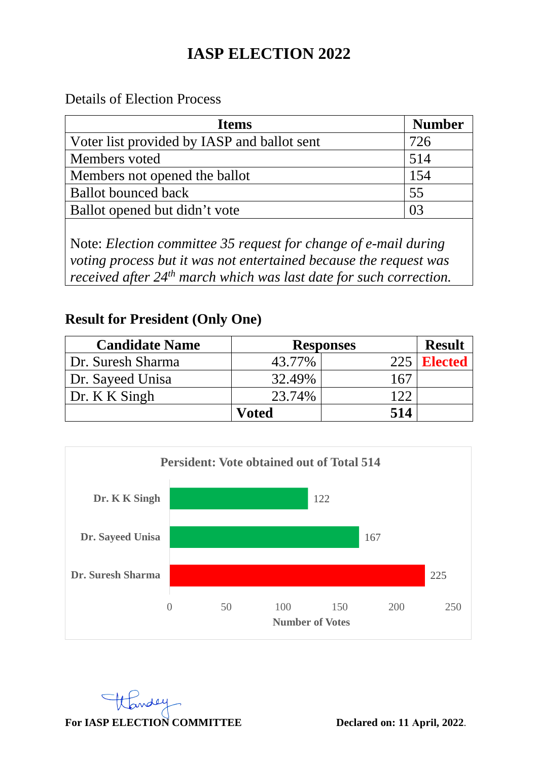# **IASP ELECTION 2022**

Details of Election Process

| <b>Ifems</b>                                                                                                                                                                                                           | <b>Number</b> |  |  |
|------------------------------------------------------------------------------------------------------------------------------------------------------------------------------------------------------------------------|---------------|--|--|
| Voter list provided by IASP and ballot sent                                                                                                                                                                            | 726           |  |  |
| Members voted                                                                                                                                                                                                          | 514           |  |  |
| Members not opened the ballot                                                                                                                                                                                          | 154           |  |  |
| <b>Ballot</b> bounced back                                                                                                                                                                                             | 55            |  |  |
| Ballot opened but didn't vote                                                                                                                                                                                          | 03            |  |  |
| Note: Election committee 35 request for change of e-mail during<br>voting process but it was not entertained because the request was<br>received after 24 <sup>th</sup> march which was last date for such correction. |               |  |  |

## **Result for President (Only One)**

| <b>Candidate Name</b> |        | <b>Responses</b> | <b>Result</b>  |
|-----------------------|--------|------------------|----------------|
| Dr. Suresh Sharma     | 43.77% | 225              | <b>Elected</b> |
| Dr. Sayeed Unisa      | 32.49% |                  |                |
| Dr. K K Singh         | 23.74% | ∣ ດຕ             |                |
|                       | Voted  | 514              |                |



 $\overline{u}$ For IASP ELECTION COMMITTEE Declared on: 11 April, 2022.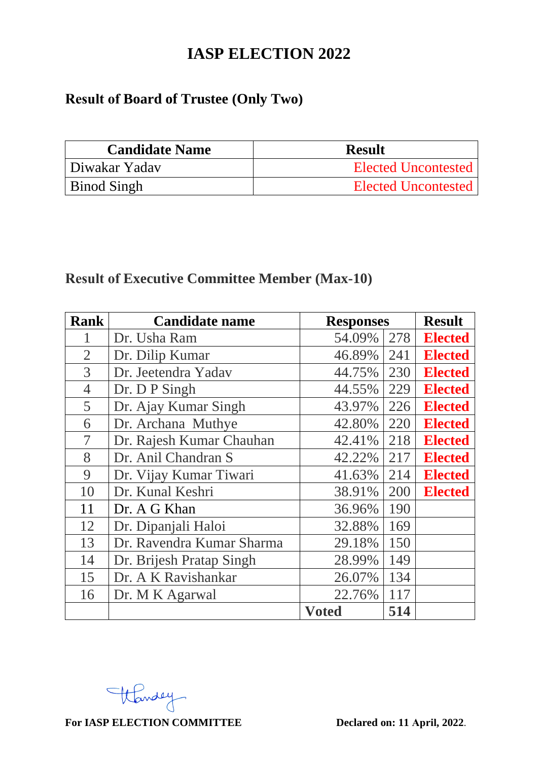## **IASP ELECTION 2022**

# **Result of Board of Trustee (Only Two)**

| <b>Candidate Name</b> | <b>Result</b>              |
|-----------------------|----------------------------|
| Diwakar Yaday         | <b>Elected Uncontested</b> |
| <b>Binod Singh</b>    | Elected Uncontested        |

## **Result of Executive Committee Member (Max-10)**

| <b>Rank</b>    | <b>Candidate name</b>     | <b>Responses</b> |     | <b>Result</b>  |
|----------------|---------------------------|------------------|-----|----------------|
|                | Dr. Usha Ram              | 54.09%           | 278 | <b>Elected</b> |
| $\overline{2}$ | Dr. Dilip Kumar           | 46.89%           | 241 | <b>Elected</b> |
| 3              | Dr. Jeetendra Yadav       | 44.75%           | 230 | <b>Elected</b> |
| 4              | Dr. D P Singh             | 44.55%           | 229 | <b>Elected</b> |
| 5              | Dr. Ajay Kumar Singh      | 43.97%           | 226 | <b>Elected</b> |
| 6              | Dr. Archana Muthye        | 42.80%           | 220 | <b>Elected</b> |
| 7              | Dr. Rajesh Kumar Chauhan  | 42.41%           | 218 | <b>Elected</b> |
| 8              | Dr. Anil Chandran S       | 42.22%           | 217 | <b>Elected</b> |
| 9              | Dr. Vijay Kumar Tiwari    | 41.63%           | 214 | <b>Elected</b> |
| 10             | Dr. Kunal Keshri          | 38.91%           | 200 | <b>Elected</b> |
| 11             | Dr. A G Khan              | 36.96%           | 190 |                |
| 12             | Dr. Dipanjali Haloi       | 32.88%           | 169 |                |
| 13             | Dr. Ravendra Kumar Sharma | 29.18%           | 150 |                |
| 14             | Dr. Brijesh Pratap Singh  | 28.99%           | 149 |                |
| 15             | Dr. A K Ravishankar       | 26.07%           | 134 |                |
| 16             | Dr. M K Agarwal           | 22.76%           | 117 |                |
|                |                           | <b>Voted</b>     | 514 |                |

Wandey

**For IASP ELECTION COMMITTEE Declared on: 11 April, 2022**.